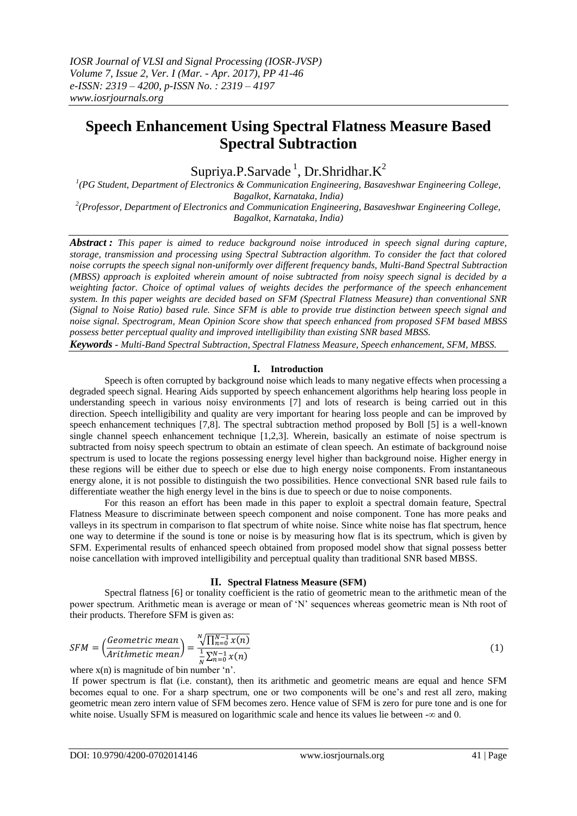# **Speech Enhancement Using Spectral Flatness Measure Based Spectral Subtraction**

Supriya.P.Sarvade<sup>1</sup>, Dr.Shridhar.K<sup>2</sup>

<sup>1</sup>(PG Student, Department of Electronics & Communication Engineering, Basaveshwar Engineering College, *Bagalkot, Karnataka, India) 2 (Professor, Department of Electronics and Communication Engineering, Basaveshwar Engineering College,* 

*Bagalkot, Karnataka, India)*

*Abstract : This paper is aimed to reduce background noise introduced in speech signal during capture, storage, transmission and processing using Spectral Subtraction algorithm. To consider the fact that colored noise corrupts the speech signal non-uniformly over different frequency bands, Multi-Band Spectral Subtraction (MBSS) approach is exploited wherein amount of noise subtracted from noisy speech signal is decided by a weighting factor. Choice of optimal values of weights decides the performance of the speech enhancement system. In this paper weights are decided based on SFM (Spectral Flatness Measure) than conventional SNR (Signal to Noise Ratio) based rule. Since SFM is able to provide true distinction between speech signal and noise signal. Spectrogram, Mean Opinion Score show that speech enhanced from proposed SFM based MBSS possess better perceptual quality and improved intelligibility than existing SNR based MBSS.*

*Keywords - Multi-Band Spectral Subtraction, Spectral Flatness Measure, Speech enhancement, SFM, MBSS.*

### **I. Introduction**

Speech is often corrupted by background noise which leads to many negative effects when processing a degraded speech signal. Hearing Aids supported by speech enhancement algorithms help hearing loss people in understanding speech in various noisy environments [7] and lots of research is being carried out in this direction. Speech intelligibility and quality are very important for hearing loss people and can be improved by speech enhancement techniques [7,8]. The spectral subtraction method proposed by Boll [5] is a well-known single channel speech enhancement technique [1,2,3]. Wherein, basically an estimate of noise spectrum is subtracted from noisy speech spectrum to obtain an estimate of clean speech. An estimate of background noise spectrum is used to locate the regions possessing energy level higher than background noise. Higher energy in these regions will be either due to speech or else due to high energy noise components. From instantaneous energy alone, it is not possible to distinguish the two possibilities. Hence convectional SNR based rule fails to differentiate weather the high energy level in the bins is due to speech or due to noise components.

For this reason an effort has been made in this paper to exploit a spectral domain feature, Spectral Flatness Measure to discriminate between speech component and noise component. Tone has more peaks and valleys in its spectrum in comparison to flat spectrum of white noise. Since white noise has flat spectrum, hence one way to determine if the sound is tone or noise is by measuring how flat is its spectrum, which is given by SFM. Experimental results of enhanced speech obtained from proposed model show that signal possess better noise cancellation with improved intelligibility and perceptual quality than traditional SNR based MBSS.

# **II. Spectral Flatness Measure (SFM)**

Spectral flatness [6] or tonality coefficient is the ratio of geometric mean to the arithmetic mean of the power spectrum. Arithmetic mean is average or mean of 'N' sequences whereas geometric mean is Nth root of their products. Therefore SFM is given as:

$$
SFM = \left(\frac{Geometric\ mean}{Arithmetic\ mean}\right) = \frac{{}^{N}\sqrt{\prod_{n=0}^{N-1} x(n)}}{{}^{1}\sqrt{\sum_{n=0}^{N-1} x(n)}}\tag{1}
$$

where  $x(n)$  is magnitude of bin number 'n'.

If power spectrum is flat (i.e. constant), then its arithmetic and geometric means are equal and hence SFM becomes equal to one. For a sharp spectrum, one or two components will be one's and rest all zero, making geometric mean zero intern value of SFM becomes zero. Hence value of SFM is zero for pure tone and is one for white noise. Usually SFM is measured on logarithmic scale and hence its values lie between  $-\infty$  and 0.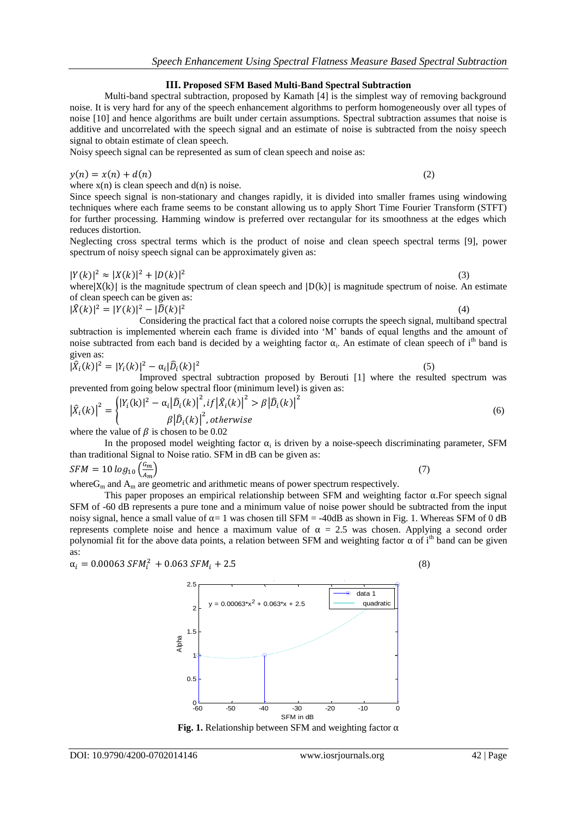**III. Proposed SFM Based Multi-Band Spectral Subtraction**

noise. It is very hard for any of the speech enhancement algorithms to perform homogeneously over all types of

Multi-band spectral subtraction, proposed by Kamath [4] is the simplest way of removing background

*Speech Enhancement Using Spectral Flatness Measure Based Spectral Subtraction* 

Noisy speech signal can be represented as sum of clean speech and noise as:

 $y(n) = x(n) + d(n)$  (2)

where  $x(n)$  is clean speech and  $d(n)$  is noise.

Since speech signal is non-stationary and changes rapidly, it is divided into smaller frames using windowing techniques where each frame seems to be constant allowing us to apply Short Time Fourier Transform (STFT) for further processing. Hamming window is preferred over rectangular for its smoothness at the edges which reduces distortion.

Neglecting cross spectral terms which is the product of noise and clean speech spectral terms [9], power spectrum of noisy speech signal can be approximately given as:

$$
|Y(k)|^2 \approx |X(k)|^2 + |D(k)|^2
$$

where  $|X(k)|$  is the magnitude spectrum of clean speech and  $|D(k)|$  is magnitude spectrum of noise. An estimate of clean speech can be given as:

$$
|\hat{X}(k)|^2 = |Y(k)|^2 - |\hat{D}(k)|^2
$$
  
Considering the practical fact that a colored noise corrupts the speech signal, multiband spectral

subtraction is implemented wherein each frame is divided into 'M' bands of equal lengths and the amount of noise subtracted from each band is decided by a weighting factor  $\alpha_i$ . An estimate of clean speech of i<sup>th</sup> band is given as:

$$
|\hat{X}_{i}(k)|^{2} = |Y_{i}(k)|^{2} - \alpha_{i}|\hat{D}_{i}(k)|^{2}
$$

Improved spectral subtraction proposed by Berouti [1] where the resulted spectrum was prevented from going below spectral floor (minimum level) is given as:

$$
\left|\hat{X}_{i}(k)\right|^{2} = \begin{cases} \left|Y_{i}(k)\right|^{2} - \alpha_{i}\left|\hat{D}_{i}(k)\right|^{2}, if \left|\hat{X}_{i}(k)\right|^{2} > \beta\left|\hat{D}_{i}(k)\right|^{2} \\ \beta\left|\hat{D}_{i}(k)\right|^{2}, otherwise \end{cases}
$$
\n(6)

where the value of  $\beta$  is chosen to be 0.02

In the proposed model weighting factor  $\alpha_i$  is driven by a noise-speech discriminating parameter, SFM than traditional Signal to Noise ratio. SFM in dB can be given as:

 $SFM = 10 log_{10} (\frac{G}{4})$  $\overline{A}$  $\left(7\right)$ where  $G_m$  and  $A_m$  are geometric and arithmetic means of power spectrum respectively.

This paper proposes an empirical relationship between SFM and weighting factor  $\alpha$ . For speech signal SFM of -60 dB represents a pure tone and a minimum value of noise power should be subtracted from the input noisy signal, hence a small value of  $\alpha = 1$  was chosen till SFM = -40dB as shown in Fig. 1. Whereas SFM of 0 dB represents complete noise and hence a maximum value of  $\alpha = 2.5$  was chosen. Applying a second order polynomial fit for the above data points, a relation between SFM and weighting factor  $\alpha$  of i<sup>th</sup> band can be given as:

Relationship between SFM and Alpha

 $\alpha_i = 0.00063 \, SFM_i^2 + 0.063 \, SFM_i + 2.5$  (8)

2.5



(3)

(5)

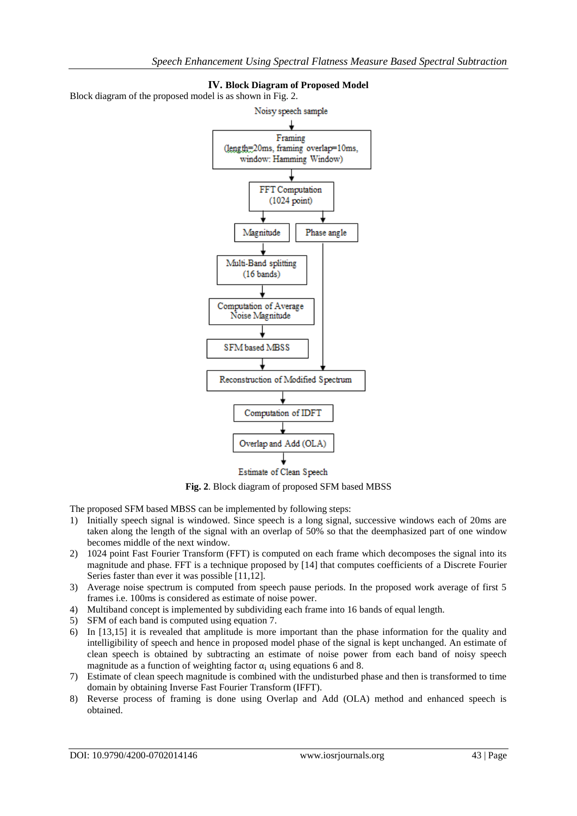

# **IV. Block Diagram of Proposed Model**

Block diagram of the proposed model is as shown in Fig. 2.

**Fig. 2**. Block diagram of proposed SFM based MBSS

The proposed SFM based MBSS can be implemented by following steps:

- 1) Initially speech signal is windowed. Since speech is a long signal, successive windows each of 20ms are taken along the length of the signal with an overlap of 50% so that the deemphasized part of one window becomes middle of the next window.
- 2) 1024 point Fast Fourier Transform (FFT) is computed on each frame which decomposes the signal into its magnitude and phase. FFT is a technique proposed by [14] that computes coefficients of a Discrete Fourier Series faster than ever it was possible [11,12].
- 3) Average noise spectrum is computed from speech pause periods. In the proposed work average of first 5 frames i.e. 100ms is considered as estimate of noise power.
- 4) Multiband concept is implemented by subdividing each frame into 16 bands of equal length.
- 5) SFM of each band is computed using equation 7.
- 6) In [13,15] it is revealed that amplitude is more important than the phase information for the quality and intelligibility of speech and hence in proposed model phase of the signal is kept unchanged. An estimate of clean speech is obtained by subtracting an estimate of noise power from each band of noisy speech magnitude as a function of weighting factor  $\alpha_i$  using equations 6 and 8.
- 7) Estimate of clean speech magnitude is combined with the undisturbed phase and then is transformed to time domain by obtaining Inverse Fast Fourier Transform (IFFT).
- 8) Reverse process of framing is done using Overlap and Add (OLA) method and enhanced speech is obtained.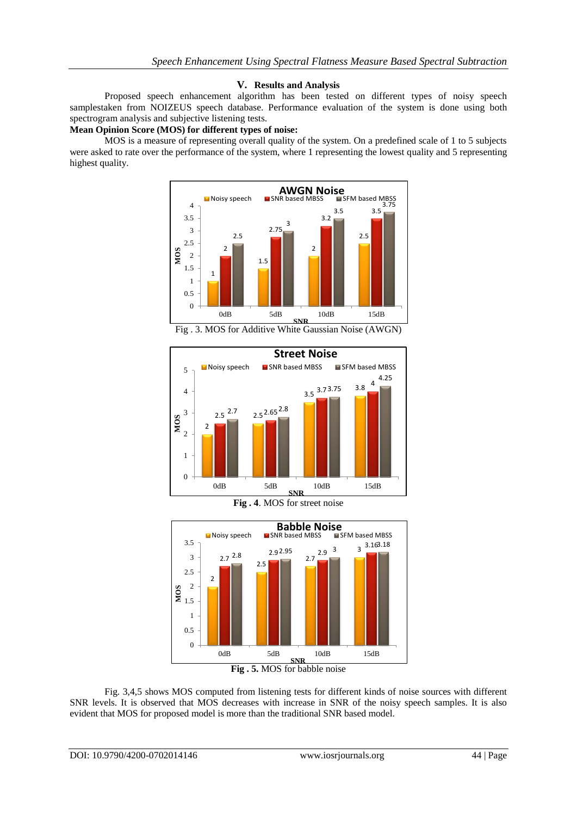#### **V. Results and Analysis**

Proposed speech enhancement algorithm has been tested on different types of noisy speech samplestaken from NOIZEUS speech database. Performance evaluation of the system is done using both spectrogram analysis and subjective listening tests.

## **Mean Opinion Score (MOS) for different types of noise:**

MOS is a measure of representing overall quality of the system. On a predefined scale of 1 to 5 subjects were asked to rate over the performance of the system, where 1 representing the lowest quality and 5 representing highest quality.



Fig . 3. MOS for Additive White Gaussian Noise (AWGN)







Fig. 3,4,5 shows MOS computed from listening tests for different kinds of noise sources with different SNR levels. It is observed that MOS decreases with increase in SNR of the noisy speech samples. It is also evident that MOS for proposed model is more than the traditional SNR based model.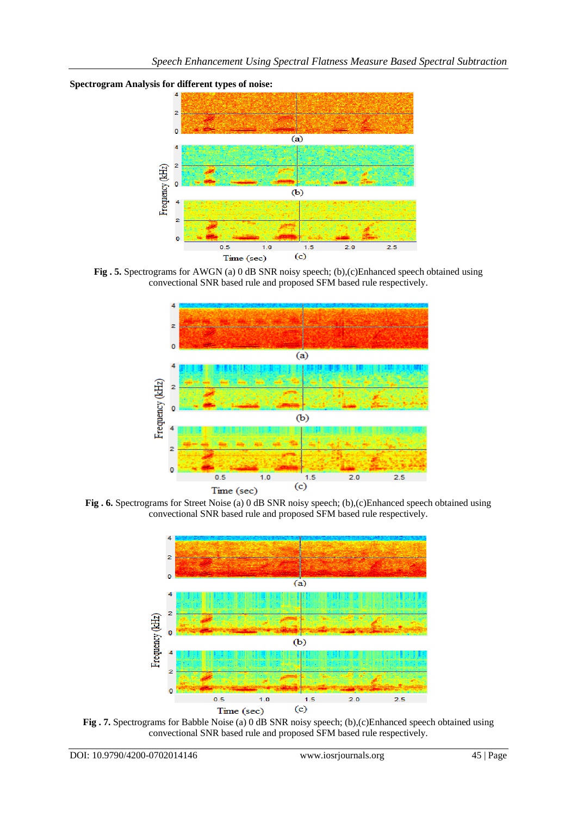



**Fig. 5.** Spectrograms for AWGN (a) 0 dB SNR noisy speech; (b),(c)Enhanced speech obtained using convectional SNR based rule and proposed SFM based rule respectively.



**Fig . 6.** Spectrograms for Street Noise (a) 0 dB SNR noisy speech; (b),(c)Enhanced speech obtained using convectional SNR based rule and proposed SFM based rule respectively.



**Fig . 7.** Spectrograms for Babble Noise (a) 0 dB SNR noisy speech; (b),(c)Enhanced speech obtained using convectional SNR based rule and proposed SFM based rule respectively.